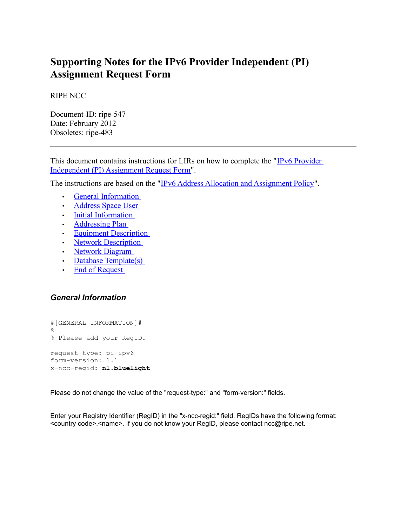# **Supporting Notes for the IPv6 Provider Independent (PI) Assignment Request Form**

RIPE NCC

Document-ID: ripe-547 Date: February 2012 Obsoletes: ripe-483

This document contains instructions for LIRs on how to complete the ["IPv6 Provider](http://ripe.net/ripe/docs/ipv6-pi) [Independent \(PI\) Assignment Request Form"](http://ripe.net/ripe/docs/ipv6-pi).

The instructions are based on the ["IPv6 Address Allocation and Assignment Policy"](http://www.ripe.net/ripe/docs/ipv6-policy).

- • [General Information](#page-0-1)
- • [Address Space User](#page-1-0)
- • [Initial Information](#page-2-1)
- • [Addressing Plan](#page-2-0)
- <span id="page-0-0"></span>• [Equipment Description](#page-0-0)
- • [Network Description](#page-4-2)
- • [Network Diagram](#page-4-1)
- • [Database Template\(s\)](#page-4-0)
- • [End of Request](#page-5-0)

## <span id="page-0-1"></span>*General Information*

#[GENERAL INFORMATION]# % % Please add your RegID. request-type: pi-ipv6 form-version: 1.1 x-ncc-regid: **nl.bluelight**

Please do not change the value of the "request-type:" and "form-version:" fields.

Enter your Registry Identifier (RegID) in the "x-ncc-regid:" field. RegIDs have the following format: <country code>.< name>. If you do not know your RegID, please contact ncc@ripe.net.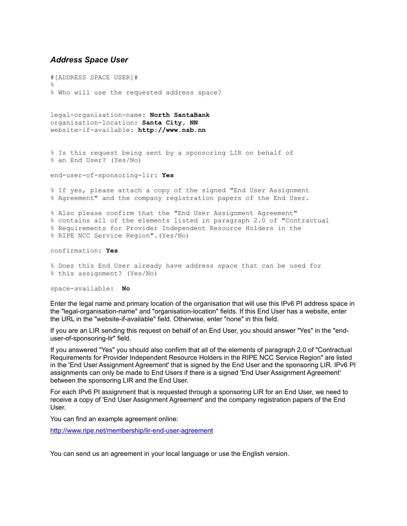#### <span id="page-1-0"></span>*Address Space User*

#[ADDRESS SPACE USER]# % % Who will use the requested address space?

legal-organisation-name: **North SantaBank** organisation-location: **Santa City, NN** website-if-available: **http://www.nsb.nn**

% Is this request being sent by a sponsoring LIR on behalf of % an End User? (Yes/No)

end-user-of-sponsoring-lir: **Yes**

% If yes, please attach a copy of the signed "End User Assignment % Agreement" and the company registration papers of the End User.

% Also please confirm that the "End User Assignment Agreement" % contains all of the elements listed in paragraph 2.0 of "Contractual % Requirements for Provider Independent Resource Holders in the % RIPE NCC Service Region".(Yes/No)

confirmation: **Yes**

% Does this End User already have address space that can be used for % this assignment? (Yes/No)

space-available: **No**

Enter the legal name and primary location of the organisation that will use this IPv6 PI address space in the "legal-organisation-name" and "organisation-location" fields. If this End User has a website, enter the URL in the "website-if-available" field. Otherwise, enter "none" in this field.

If you are an LIR sending this request on behalf of an End User, you should answer "Yes" in the "enduser-of-sponsoring-lir" field.

If you answered "Yes" you should also confirm that all of the elements of paragraph 2.0 of "Contractual Requirements for Provider Independent Resource Holders in the RIPE NCC Service Region" are listed in the 'End User Assignment Agreement' that is signed by the End User and the sponsoring LIR. IPv6 PI assignments can only be made to End Users if there is a signed 'End User Assignment Agreement' between the sponsoring LIR and the End User.

For each IPv6 PI assignment that is requested through a sponsoring LIR for an End User, we need to receive a copy of 'End User Assignment Agreement' and the company registration papers of the End User.

You can find an example agreement online:

<http://www.ripe.net/membership/lir-end-user-agreement>

You can send us an agreement in your local language or use the English version.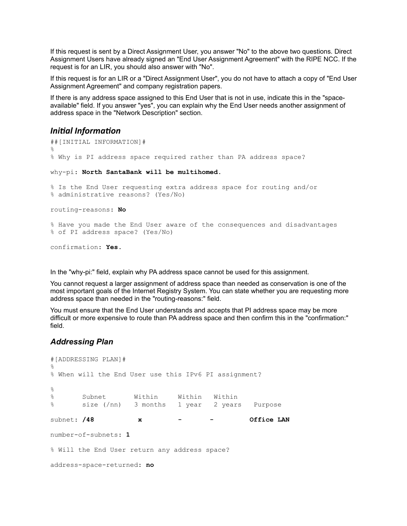If this request is sent by a Direct Assignment User, you answer "No" to the above two questions. Direct Assignment Users have already signed an "End User Assignment Agreement" with the RIPE NCC. If the request is for an LIR, you should also answer with "No".

If this request is for an LIR or a "Direct Assignment User", you do not have to attach a copy of "End User Assignment Agreement" and company registration papers.

If there is any address space assigned to this End User that is not in use, indicate this in the "spaceavailable" field. If you answer "yes", you can explain why the End User needs another assignment of address space in the "Network Description" section.

#### <span id="page-2-1"></span>*Initial Information*

```
##[INITIAL INFORMATION]#
%
% Why is PI address space required rather than PA address space? 
why-pi: North SantaBank will be multihomed. 
% Is the End User requesting extra address space for routing and/or
% administrative reasons? (Yes/No)
routing-reasons: No
% Have you made the End User aware of the consequences and disadvantages
% of PI address space? (Yes/No)
confirmation: Yes.
```
In the "why-pi:" field, explain why PA address space cannot be used for this assignment.

You cannot request a larger assignment of address space than needed as conservation is one of the most important goals of the Internet Registry System. You can state whether you are requesting more address space than needed in the "routing-reasons:" field.

You must ensure that the End User understands and accepts that PI address space may be more difficult or more expensive to route than PA address space and then confirm this in the "confirmation:" field.

### <span id="page-2-0"></span>*Addressing Plan*

```
#[ADDRESSING PLAN]#
\approx% When will the End User use this IPv6 PI assignment?
\approx% Subnet Within Within Within
% size (/nn) 3 months 1 year 2 years Purpose
subnet: /48 x - - Office LAN
number-of-subnets: 1
% Will the End User return any address space?
address-space-returned: no
```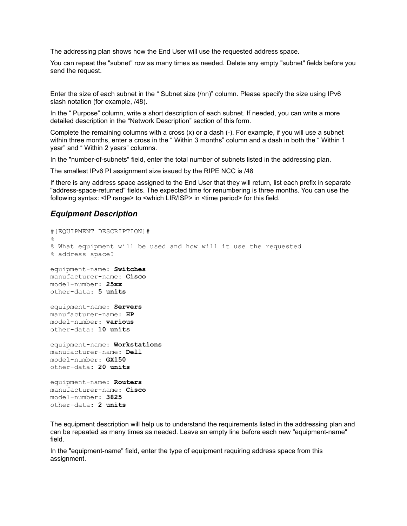The addressing plan shows how the End User will use the requested address space.

You can repeat the "subnet" row as many times as needed. Delete any empty "subnet" fields before you send the request.

Enter the size of each subnet in the " Subnet size (/nn)" column. Please specify the size using IPv6 slash notation (for example, /48).

In the " Purpose" column, write a short description of each subnet. If needed, you can write a more detailed description in the "Network Description" section of this form.

Complete the remaining columns with a cross  $(x)$  or a dash  $(-)$ . For example, if you will use a subnet within three months, enter a cross in the " Within 3 months" column and a dash in both the " Within 1 year" and " Within 2 years" columns.

In the "number-of-subnets" field, enter the total number of subnets listed in the addressing plan.

The smallest IPv6 PI assignment size issued by the RIPE NCC is /48

If there is any address space assigned to the End User that they will return, list each prefix in separate "address-space-returned" fields. The expected time for renumbering is three months. You can use the following syntax: <IP range> to <which LIR/ISP> in <time period> for this field.

#### *Equipment Description*

```
#[EQUIPMENT DESCRIPTION]#
\approx% What equipment will be used and how will it use the requested
% address space?
equipment-name: Switches
manufacturer-name: Cisco
model-number: 25xx
other-data: 5 units
equipment-name: Servers
manufacturer-name: HP
model-number: various
other-data: 10 units
equipment-name: Workstations
manufacturer-name: Dell
model-number: GX150
other-data: 20 units
equipment-name: Routers
manufacturer-name: Cisco
model-number: 3825
other-data: 2 units
```
The equipment description will help us to understand the requirements listed in the addressing plan and can be repeated as many times as needed. Leave an empty line before each new "equipment-name" field.

In the "equipment-name" field, enter the type of equipment requiring address space from this assignment.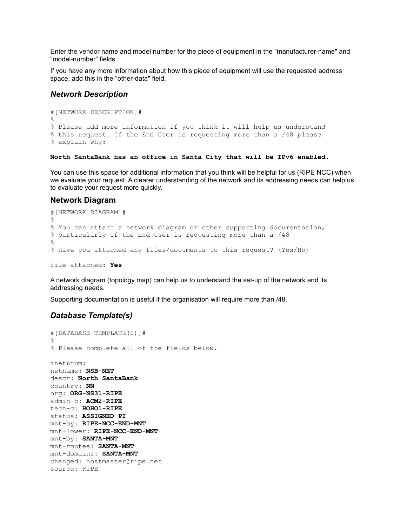Enter the vendor name and model number for the piece of equipment in the "manufacturer-name" and "model-number" fields.

If you have any more information about how this piece of equipment will use the requested address space, add this in the "other-data" field.

#### <span id="page-4-2"></span>*Network Description*

```
#[NETWORK DESCRIPTION]#
%
% Please add more information if you think it will help us understand
% this request. If the End User is requesting more than a /48 please 
% explain why:
```
**North SantaBank has an office in Santa City that will be IPv6 enabled.**

You can use this space for additional information that you think will be helpful for us (RIPE NCC) when we evaluate your request. A clearer understanding of the network and its addressing needs can help us to evaluate your request more quickly.

#### <span id="page-4-1"></span>**Network Diagram**

```
#[NETWORK DIAGRAM]#
\mathfrak{D}% You can attach a network diagram or other supporting documentation,
% particularly if the End User is requesting more than a /48
\approx% Have you attached any files/documents to this request? (Yes/No)
file-attached: Yes
```
A network diagram (topology map) can help us to understand the set-up of the network and its addressing needs.

Supporting documentation is useful if the organisation will require more than /48.

#### <span id="page-4-0"></span>*Database Template(s)*

```
#[DATABASE TEMPLATE(S)]#
\frac{1}{2}% Please complete all of the fields below.
inet6num:
netname: NSB-NET
descr: North SantaBank
country: NN
org: ORG-NS31-RIPE
admin-c: ACM2-RIPE
tech-c: HOHO1-RIPE
status: ASSIGNED PI
mnt-by: RIPE-NCC-END-MNT
mnt-lower: RIPE-NCC-END-MNT
mnt-by: SANTA-MNT
mnt-routes: SANTA-MNT
mnt-domains: SANTA-MNT
changed: hostmaster@ripe.net
source: RIPE
```